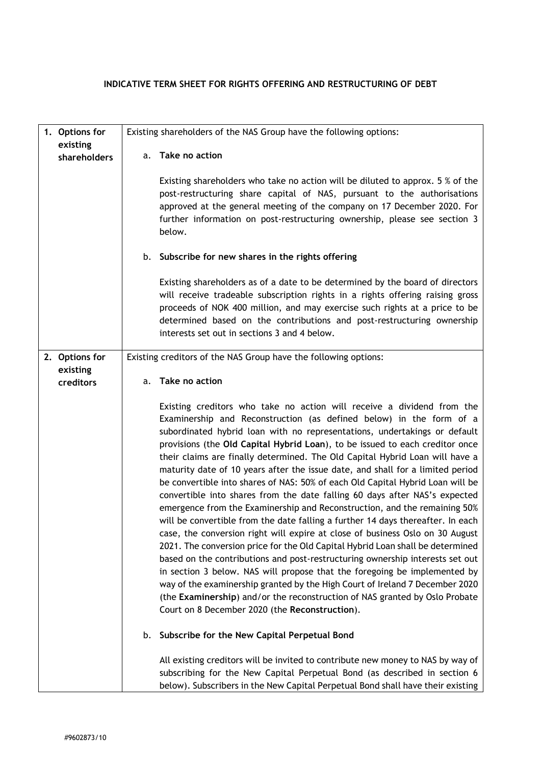## **INDICATIVE TERM SHEET FOR RIGHTS OFFERING AND RESTRUCTURING OF DEBT**

<span id="page-0-1"></span><span id="page-0-0"></span>

| 1. Options for           |    | Existing shareholders of the NAS Group have the following options:                                                                                                                                                                                                                                                                                                                                                                                                                                                                                                                                                                                                                                                                                                                                                                                                                                                                                                                                                                                                                                                                                                                                                                                                                                                                                                                                                                                                                                                                                                             |
|--------------------------|----|--------------------------------------------------------------------------------------------------------------------------------------------------------------------------------------------------------------------------------------------------------------------------------------------------------------------------------------------------------------------------------------------------------------------------------------------------------------------------------------------------------------------------------------------------------------------------------------------------------------------------------------------------------------------------------------------------------------------------------------------------------------------------------------------------------------------------------------------------------------------------------------------------------------------------------------------------------------------------------------------------------------------------------------------------------------------------------------------------------------------------------------------------------------------------------------------------------------------------------------------------------------------------------------------------------------------------------------------------------------------------------------------------------------------------------------------------------------------------------------------------------------------------------------------------------------------------------|
| existing<br>shareholders | a. | Take no action                                                                                                                                                                                                                                                                                                                                                                                                                                                                                                                                                                                                                                                                                                                                                                                                                                                                                                                                                                                                                                                                                                                                                                                                                                                                                                                                                                                                                                                                                                                                                                 |
|                          |    | Existing shareholders who take no action will be diluted to approx. 5 % of the<br>post-restructuring share capital of NAS, pursuant to the authorisations<br>approved at the general meeting of the company on 17 December 2020. For<br>further information on post-restructuring ownership, please see section 3<br>below.                                                                                                                                                                                                                                                                                                                                                                                                                                                                                                                                                                                                                                                                                                                                                                                                                                                                                                                                                                                                                                                                                                                                                                                                                                                    |
|                          |    | b. Subscribe for new shares in the rights offering                                                                                                                                                                                                                                                                                                                                                                                                                                                                                                                                                                                                                                                                                                                                                                                                                                                                                                                                                                                                                                                                                                                                                                                                                                                                                                                                                                                                                                                                                                                             |
|                          |    | Existing shareholders as of a date to be determined by the board of directors<br>will receive tradeable subscription rights in a rights offering raising gross<br>proceeds of NOK 400 million, and may exercise such rights at a price to be<br>determined based on the contributions and post-restructuring ownership<br>interests set out in sections 3 and 4 below.                                                                                                                                                                                                                                                                                                                                                                                                                                                                                                                                                                                                                                                                                                                                                                                                                                                                                                                                                                                                                                                                                                                                                                                                         |
| 2. Options for           |    | Existing creditors of the NAS Group have the following options:                                                                                                                                                                                                                                                                                                                                                                                                                                                                                                                                                                                                                                                                                                                                                                                                                                                                                                                                                                                                                                                                                                                                                                                                                                                                                                                                                                                                                                                                                                                |
| existing<br>creditors    |    | a. Take no action                                                                                                                                                                                                                                                                                                                                                                                                                                                                                                                                                                                                                                                                                                                                                                                                                                                                                                                                                                                                                                                                                                                                                                                                                                                                                                                                                                                                                                                                                                                                                              |
|                          | b. | Existing creditors who take no action will receive a dividend from the<br>Examinership and Reconstruction (as defined below) in the form of a<br>subordinated hybrid loan with no representations, undertakings or default<br>provisions (the Old Capital Hybrid Loan), to be issued to each creditor once<br>their claims are finally determined. The Old Capital Hybrid Loan will have a<br>maturity date of 10 years after the issue date, and shall for a limited period<br>be convertible into shares of NAS: 50% of each Old Capital Hybrid Loan will be<br>convertible into shares from the date falling 60 days after NAS's expected<br>emergence from the Examinership and Reconstruction, and the remaining 50%<br>will be convertible from the date falling a further 14 days thereafter. In each<br>case, the conversion right will expire at close of business Oslo on 30 August<br>2021. The conversion price for the Old Capital Hybrid Loan shall be determined<br>based on the contributions and post-restructuring ownership interests set out<br>in section 3 below. NAS will propose that the foregoing be implemented by<br>way of the examinership granted by the High Court of Ireland 7 December 2020<br>(the Examinership) and/or the reconstruction of NAS granted by Oslo Probate<br>Court on 8 December 2020 (the Reconstruction).<br>Subscribe for the New Capital Perpetual Bond<br>All existing creditors will be invited to contribute new money to NAS by way of<br>subscribing for the New Capital Perpetual Bond (as described in section 6 |
|                          |    | below). Subscribers in the New Capital Perpetual Bond shall have their existing                                                                                                                                                                                                                                                                                                                                                                                                                                                                                                                                                                                                                                                                                                                                                                                                                                                                                                                                                                                                                                                                                                                                                                                                                                                                                                                                                                                                                                                                                                |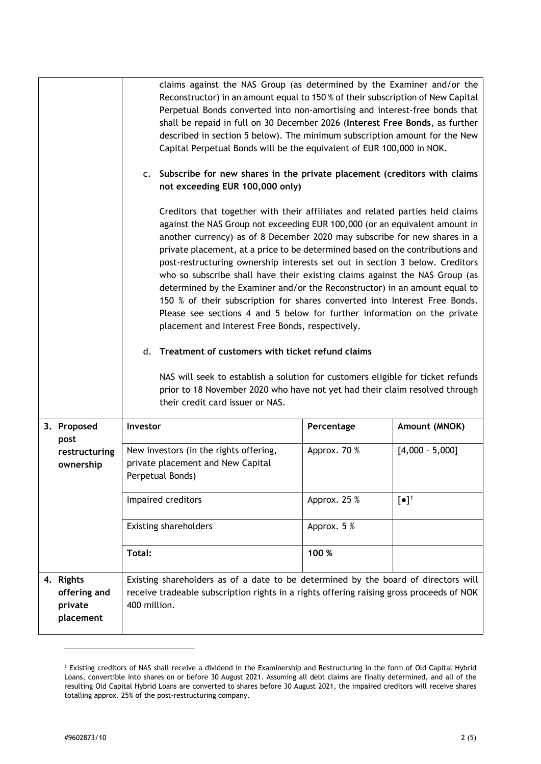<span id="page-1-3"></span>

|                                                   | claims against the NAS Group (as determined by the Examiner and/or the<br>Reconstructor) in an amount equal to 150 % of their subscription of New Capital<br>Perpetual Bonds converted into non-amortising and interest-free bonds that<br>shall be repaid in full on 30 December 2026 (Interest Free Bonds, as further<br>described in section 5 below). The minimum subscription amount for the New<br>Capital Perpetual Bonds will be the equivalent of EUR 100,000 in NOK.<br>c. Subscribe for new shares in the private placement (creditors with claims<br>not exceeding EUR 100,000 only)<br>Creditors that together with their affiliates and related parties held claims<br>against the NAS Group not exceeding EUR 100,000 (or an equivalent amount in<br>another currency) as of 8 December 2020 may subscribe for new shares in a<br>private placement, at a price to be determined based on the contributions and<br>post-restructuring ownership interests set out in section 3 below. Creditors<br>who so subscribe shall have their existing claims against the NAS Group (as<br>determined by the Examiner and/or the Reconstructor) in an amount equal to<br>150 % of their subscription for shares converted into Interest Free Bonds.<br>Please see sections 4 and 5 below for further information on the private<br>placement and Interest Free Bonds, respectively.<br>Treatment of customers with ticket refund claims<br>d.<br>NAS will seek to establish a solution for customers eligible for ticket refunds<br>prior to 18 November 2020 who have not yet had their claim resolved through<br>their credit card issuer or NAS. |              |                   |
|---------------------------------------------------|-----------------------------------------------------------------------------------------------------------------------------------------------------------------------------------------------------------------------------------------------------------------------------------------------------------------------------------------------------------------------------------------------------------------------------------------------------------------------------------------------------------------------------------------------------------------------------------------------------------------------------------------------------------------------------------------------------------------------------------------------------------------------------------------------------------------------------------------------------------------------------------------------------------------------------------------------------------------------------------------------------------------------------------------------------------------------------------------------------------------------------------------------------------------------------------------------------------------------------------------------------------------------------------------------------------------------------------------------------------------------------------------------------------------------------------------------------------------------------------------------------------------------------------------------------------------------------------------------------------------------------------------------------------|--------------|-------------------|
| 3. Proposed<br>post                               | Investor                                                                                                                                                                                                                                                                                                                                                                                                                                                                                                                                                                                                                                                                                                                                                                                                                                                                                                                                                                                                                                                                                                                                                                                                                                                                                                                                                                                                                                                                                                                                                                                                                                                  | Percentage   | Amount (MNOK)     |
| restructuring<br>ownership                        | New Investors (in the rights offering,<br>private placement and New Capital<br>Perpetual Bonds)                                                                                                                                                                                                                                                                                                                                                                                                                                                                                                                                                                                                                                                                                                                                                                                                                                                                                                                                                                                                                                                                                                                                                                                                                                                                                                                                                                                                                                                                                                                                                           | Approx. 70 % | $[4,000 - 5,000]$ |
|                                                   | Impaired creditors                                                                                                                                                                                                                                                                                                                                                                                                                                                                                                                                                                                                                                                                                                                                                                                                                                                                                                                                                                                                                                                                                                                                                                                                                                                                                                                                                                                                                                                                                                                                                                                                                                        | Approx. 25 % | $[\bullet]^1$     |
|                                                   | <b>Existing shareholders</b>                                                                                                                                                                                                                                                                                                                                                                                                                                                                                                                                                                                                                                                                                                                                                                                                                                                                                                                                                                                                                                                                                                                                                                                                                                                                                                                                                                                                                                                                                                                                                                                                                              | Approx. 5 %  |                   |
|                                                   | Total:                                                                                                                                                                                                                                                                                                                                                                                                                                                                                                                                                                                                                                                                                                                                                                                                                                                                                                                                                                                                                                                                                                                                                                                                                                                                                                                                                                                                                                                                                                                                                                                                                                                    | 100 %        |                   |
| 4. Rights<br>offering and<br>private<br>placement | Existing shareholders as of a date to be determined by the board of directors will<br>receive tradeable subscription rights in a rights offering raising gross proceeds of NOK<br>400 million.                                                                                                                                                                                                                                                                                                                                                                                                                                                                                                                                                                                                                                                                                                                                                                                                                                                                                                                                                                                                                                                                                                                                                                                                                                                                                                                                                                                                                                                            |              |                   |

<span id="page-1-2"></span><span id="page-1-1"></span><span id="page-1-0"></span><sup>1</sup> Existing creditors of NAS shall receive a dividend in the Examinership and Restructuring in the form of Old Capital Hybrid Loans, convertible into shares on or before 30 August 2021. Assuming all debt claims are finally determined, and all of the resulting Old Capital Hybrid Loans are converted to shares before 30 August 2021, the impaired creditors will receive shares totalling approx. 25% of the post-restructuring company.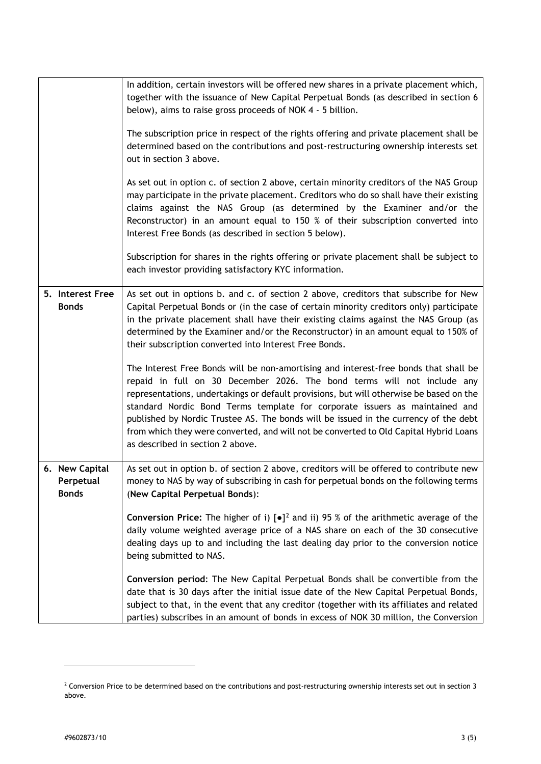<span id="page-2-1"></span>

|                                             | In addition, certain investors will be offered new shares in a private placement which,<br>together with the issuance of New Capital Perpetual Bonds (as described in section 6<br>below), aims to raise gross proceeds of NOK 4 - 5 billion.<br>The subscription price in respect of the rights offering and private placement shall be<br>determined based on the contributions and post-restructuring ownership interests set<br>out in section 3 above.<br>As set out in option c. of section 2 above, certain minority creditors of the NAS Group<br>may participate in the private placement. Creditors who do so shall have their existing<br>claims against the NAS Group (as determined by the Examiner and/or the<br>Reconstructor) in an amount equal to 150 % of their subscription converted into<br>Interest Free Bonds (as described in section 5 below).                                                                                                                 |
|---------------------------------------------|------------------------------------------------------------------------------------------------------------------------------------------------------------------------------------------------------------------------------------------------------------------------------------------------------------------------------------------------------------------------------------------------------------------------------------------------------------------------------------------------------------------------------------------------------------------------------------------------------------------------------------------------------------------------------------------------------------------------------------------------------------------------------------------------------------------------------------------------------------------------------------------------------------------------------------------------------------------------------------------|
|                                             | Subscription for shares in the rights offering or private placement shall be subject to<br>each investor providing satisfactory KYC information.                                                                                                                                                                                                                                                                                                                                                                                                                                                                                                                                                                                                                                                                                                                                                                                                                                         |
| 5. Interest Free<br><b>Bonds</b>            | As set out in options b. and c. of section 2 above, creditors that subscribe for New<br>Capital Perpetual Bonds or (in the case of certain minority creditors only) participate<br>in the private placement shall have their existing claims against the NAS Group (as<br>determined by the Examiner and/or the Reconstructor) in an amount equal to 150% of<br>their subscription converted into Interest Free Bonds.<br>The Interest Free Bonds will be non-amortising and interest-free bonds that shall be<br>repaid in full on 30 December 2026. The bond terms will not include any<br>representations, undertakings or default provisions, but will otherwise be based on the<br>standard Nordic Bond Terms template for corporate issuers as maintained and<br>published by Nordic Trustee AS. The bonds will be issued in the currency of the debt<br>from which they were converted, and will not be converted to Old Capital Hybrid Loans<br>as described in section 2 above. |
| 6. New Capital<br>Perpetual<br><b>Bonds</b> | As set out in option b. of section 2 above, creditors will be offered to contribute new<br>money to NAS by way of subscribing in cash for perpetual bonds on the following terms<br>(New Capital Perpetual Bonds):<br><b>Conversion Price:</b> The higher of i) $\bullet$ $]$ <sup>2</sup> and ii) 95 % of the arithmetic average of the<br>daily volume weighted average price of a NAS share on each of the 30 consecutive<br>dealing days up to and including the last dealing day prior to the conversion notice<br>being submitted to NAS.<br>Conversion period: The New Capital Perpetual Bonds shall be convertible from the<br>date that is 30 days after the initial issue date of the New Capital Perpetual Bonds,<br>subject to that, in the event that any creditor (together with its affiliates and related                                                                                                                                                                |

<span id="page-2-2"></span><span id="page-2-0"></span><sup>&</sup>lt;sup>2</sup> Conversion Price to be determined based on the contributions and post-restructuring ownership interests set out in section [3](#page-1-0) above.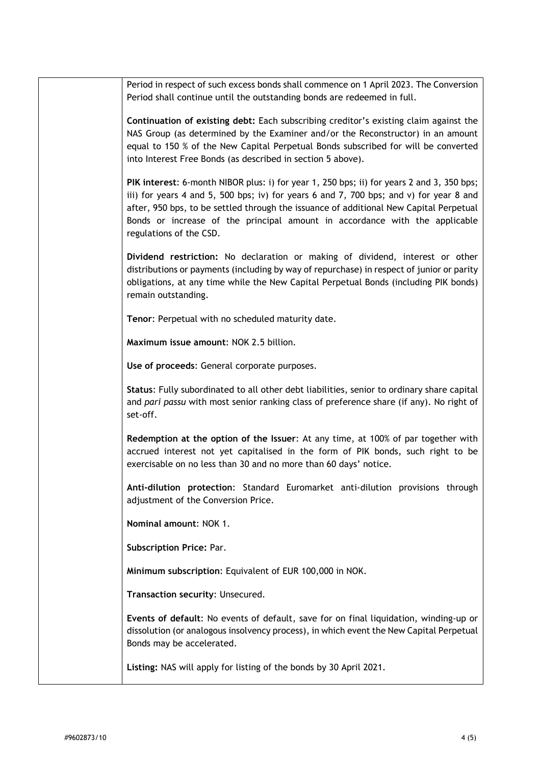| Continuation of existing debt: Each subscribing creditor's existing claim against the<br>NAS Group (as determined by the Examiner and/or the Reconstructor) in an amount<br>equal to 150 % of the New Capital Perpetual Bonds subscribed for will be converted<br>into Interest Free Bonds (as described in section 5 above).                                                           |
|-----------------------------------------------------------------------------------------------------------------------------------------------------------------------------------------------------------------------------------------------------------------------------------------------------------------------------------------------------------------------------------------|
| PIK interest: 6-month NIBOR plus: i) for year 1, 250 bps; ii) for years 2 and 3, 350 bps;<br>iii) for years 4 and 5, 500 bps; iv) for years 6 and 7, 700 bps; and v) for year 8 and<br>after, 950 bps, to be settled through the issuance of additional New Capital Perpetual<br>Bonds or increase of the principal amount in accordance with the applicable<br>regulations of the CSD. |
| Dividend restriction: No declaration or making of dividend, interest or other<br>distributions or payments (including by way of repurchase) in respect of junior or parity<br>obligations, at any time while the New Capital Perpetual Bonds (including PIK bonds)<br>remain outstanding.                                                                                               |
| Tenor: Perpetual with no scheduled maturity date.                                                                                                                                                                                                                                                                                                                                       |
| Maximum issue amount: NOK 2.5 billion.                                                                                                                                                                                                                                                                                                                                                  |
| Use of proceeds: General corporate purposes.                                                                                                                                                                                                                                                                                                                                            |
| Status: Fully subordinated to all other debt liabilities, senior to ordinary share capital<br>and pari passu with most senior ranking class of preference share (if any). No right of<br>set-off.                                                                                                                                                                                       |
| Redemption at the option of the Issuer: At any time, at 100% of par together with<br>accrued interest not yet capitalised in the form of PIK bonds, such right to be<br>exercisable on no less than 30 and no more than 60 days' notice.                                                                                                                                                |
| Anti-dilution protection: Standard Euromarket anti-dilution provisions through<br>adjustment of the Conversion Price.                                                                                                                                                                                                                                                                   |
| Nominal amount: NOK 1.                                                                                                                                                                                                                                                                                                                                                                  |
| <b>Subscription Price: Par.</b>                                                                                                                                                                                                                                                                                                                                                         |
| Minimum subscription: Equivalent of EUR 100,000 in NOK.                                                                                                                                                                                                                                                                                                                                 |
|                                                                                                                                                                                                                                                                                                                                                                                         |

Period in respect of such excess bonds shall commence on 1 April 2023. The Conversion

Period shall continue until the outstanding bonds are redeemed in full.

**Transaction security**: Unsecured.

**Events of default**: No events of default, save for on final liquidation, winding-up or dissolution (or analogous insolvency process), in which event the New Capital Perpetual Bonds may be accelerated.

**Listing:** NAS will apply for listing of the bonds by 30 April 2021.